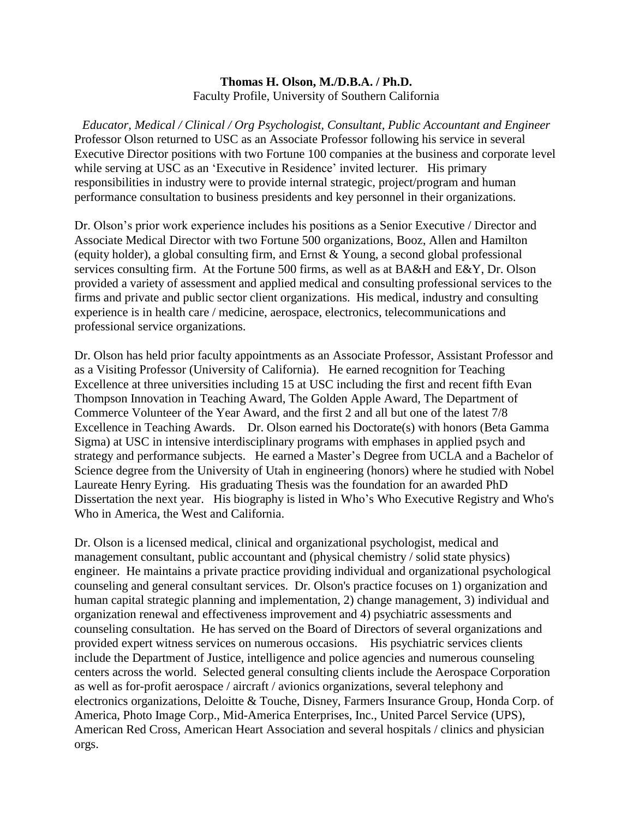#### **Thomas H. Olson, M./D.B.A. / Ph.D.** Faculty Profile, University of Southern California

*Educator, Medical / Clinical / Org Psychologist, Consultant, Public Accountant and Engineer* Professor Olson returned to USC as an Associate Professor following his service in several Executive Director positions with two Fortune 100 companies at the business and corporate level while serving at USC as an 'Executive in Residence' invited lecturer. His primary responsibilities in industry were to provide internal strategic, project/program and human performance consultation to business presidents and key personnel in their organizations.

Dr. Olson's prior work experience includes his positions as a Senior Executive / Director and Associate Medical Director with two Fortune 500 organizations, Booz, Allen and Hamilton (equity holder), a global consulting firm, and Ernst & Young, a second global professional services consulting firm. At the Fortune 500 firms, as well as at BA&H and E&Y, Dr. Olson provided a variety of assessment and applied medical and consulting professional services to the firms and private and public sector client organizations. His medical, industry and consulting experience is in health care / medicine, aerospace, electronics, telecommunications and professional service organizations.

Dr. Olson has held prior faculty appointments as an Associate Professor, Assistant Professor and as a Visiting Professor (University of California). He earned recognition for Teaching Excellence at three universities including 15 at USC including the first and recent fifth Evan Thompson Innovation in Teaching Award, The Golden Apple Award, The Department of Commerce Volunteer of the Year Award, and the first 2 and all but one of the latest 7/8 Excellence in Teaching Awards. Dr. Olson earned his Doctorate(s) with honors (Beta Gamma Sigma) at USC in intensive interdisciplinary programs with emphases in applied psych and strategy and performance subjects. He earned a Master's Degree from UCLA and a Bachelor of Science degree from the University of Utah in engineering (honors) where he studied with Nobel Laureate Henry Eyring. His graduating Thesis was the foundation for an awarded PhD Dissertation the next year. His biography is listed in Who's Who Executive Registry and Who's Who in America, the West and California.

Dr. Olson is a licensed medical, clinical and organizational psychologist, medical and management consultant, public accountant and (physical chemistry / solid state physics) engineer. He maintains a private practice providing individual and organizational psychological counseling and general consultant services. Dr. Olson's practice focuses on 1) organization and human capital strategic planning and implementation, 2) change management, 3) individual and organization renewal and effectiveness improvement and 4) psychiatric assessments and counseling consultation. He has served on the Board of Directors of several organizations and provided expert witness services on numerous occasions. His psychiatric services clients include the Department of Justice, intelligence and police agencies and numerous counseling centers across the world. Selected general consulting clients include the Aerospace Corporation as well as for-profit aerospace / aircraft / avionics organizations, several telephony and electronics organizations, Deloitte & Touche, Disney, Farmers Insurance Group, Honda Corp. of America, Photo Image Corp., Mid-America Enterprises, Inc., United Parcel Service (UPS), American Red Cross, American Heart Association and several hospitals / clinics and physician orgs.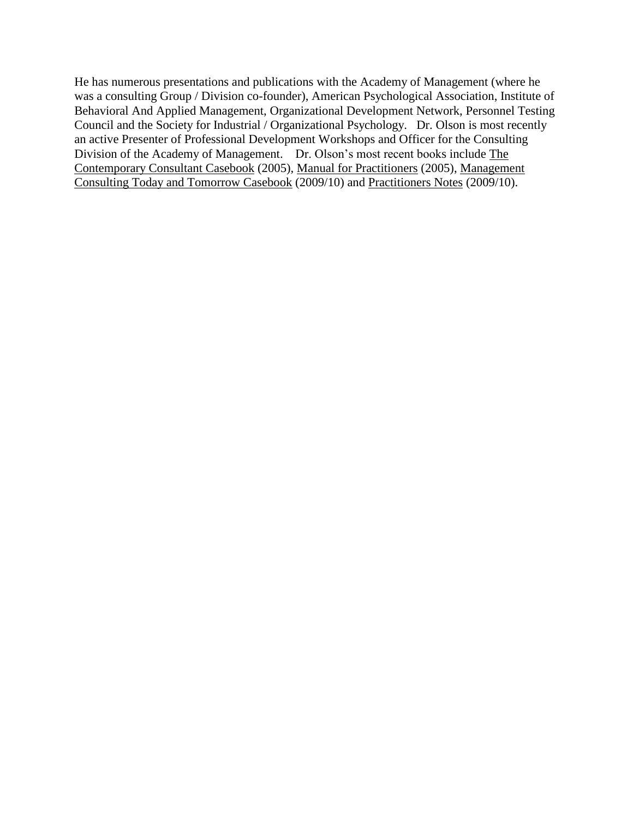He has numerous presentations and publications with the Academy of Management (where he was a consulting Group / Division co-founder), American Psychological Association, Institute of Behavioral And Applied Management, Organizational Development Network, Personnel Testing Council and the Society for Industrial / Organizational Psychology. Dr. Olson is most recently an active Presenter of Professional Development Workshops and Officer for the Consulting Division of the Academy of Management. Dr. Olson's most recent books include The Contemporary Consultant Casebook (2005), Manual for Practitioners (2005), Management Consulting Today and Tomorrow Casebook (2009/10) and Practitioners Notes (2009/10).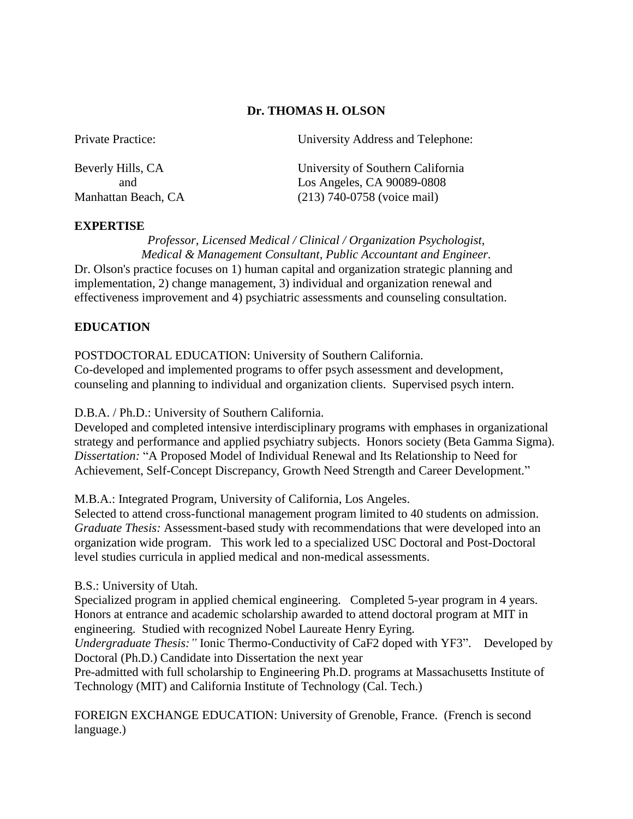#### **Dr. THOMAS H. OLSON**

| University Address and Telephone: |
|-----------------------------------|
| University of Southern California |
| Los Angeles, CA 90089-0808        |
| $(213)$ 740-0758 (voice mail)     |
|                                   |

#### **EXPERTISE**

*Professor, Licensed Medical / Clinical / Organization Psychologist, Medical & Management Consultant, Public Accountant and Engineer.* Dr. Olson's practice focuses on 1) human capital and organization strategic planning and implementation, 2) change management, 3) individual and organization renewal and effectiveness improvement and 4) psychiatric assessments and counseling consultation.

#### **EDUCATION**

POSTDOCTORAL EDUCATION: University of Southern California. Co-developed and implemented programs to offer psych assessment and development, counseling and planning to individual and organization clients. Supervised psych intern.

D.B.A. / Ph.D.: University of Southern California.

Developed and completed intensive interdisciplinary programs with emphases in organizational strategy and performance and applied psychiatry subjects. Honors society (Beta Gamma Sigma). *Dissertation:* "A Proposed Model of Individual Renewal and Its Relationship to Need for Achievement, Self-Concept Discrepancy, Growth Need Strength and Career Development."

M.B.A.: Integrated Program, University of California, Los Angeles.

Selected to attend cross-functional management program limited to 40 students on admission. *Graduate Thesis:* Assessment-based study with recommendations that were developed into an organization wide program. This work led to a specialized USC Doctoral and Post-Doctoral level studies curricula in applied medical and non-medical assessments.

#### B.S.: University of Utah.

Specialized program in applied chemical engineering. Completed 5-year program in 4 years. Honors at entrance and academic scholarship awarded to attend doctoral program at MIT in engineering. Studied with recognized Nobel Laureate Henry Eyring.

*Undergraduate Thesis:"* Ionic Thermo-Conductivity of CaF2 doped with YF3". Developed by Doctoral (Ph.D.) Candidate into Dissertation the next year

Pre-admitted with full scholarship to Engineering Ph.D. programs at Massachusetts Institute of Technology (MIT) and California Institute of Technology (Cal. Tech.)

FOREIGN EXCHANGE EDUCATION: University of Grenoble, France. (French is second language.)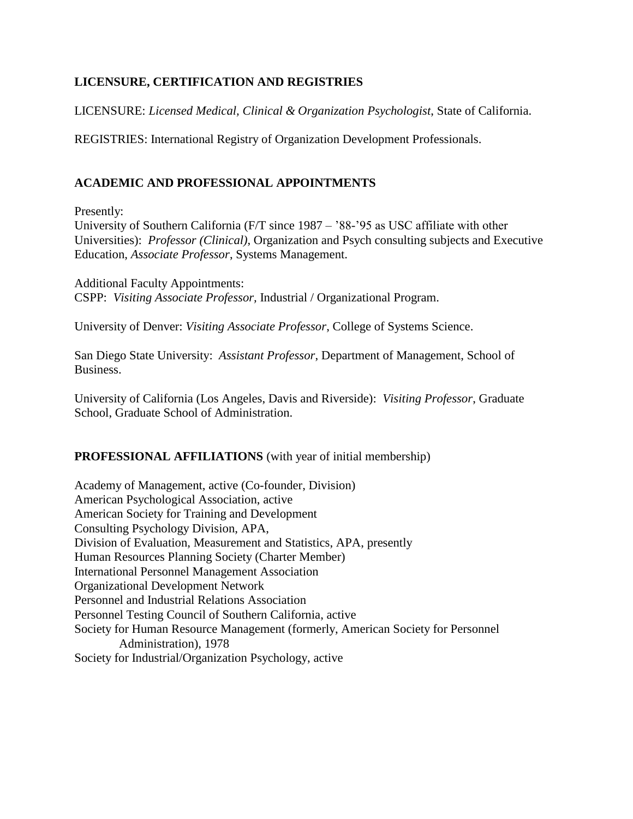# **LICENSURE, CERTIFICATION AND REGISTRIES**

LICENSURE: *Licensed Medical, Clinical & Organization Psychologist*, State of California.

REGISTRIES: International Registry of Organization Development Professionals.

# **ACADEMIC AND PROFESSIONAL APPOINTMENTS**

Presently:

University of Southern California (F/T since 1987 – '88-'95 as USC affiliate with other Universities): *Professor (Clinical)*, Organization and Psych consulting subjects and Executive Education, *Associate Professor*, Systems Management.

Additional Faculty Appointments: CSPP: *Visiting Associate Professor,* Industrial / Organizational Program.

University of Denver: *Visiting Associate Professor*, College of Systems Science.

San Diego State University: *Assistant Professor*, Department of Management, School of Business.

University of California (Los Angeles, Davis and Riverside): *Visiting Professor*, Graduate School, Graduate School of Administration.

## **PROFESSIONAL AFFILIATIONS** (with year of initial membership)

Academy of Management, active (Co-founder, Division) American Psychological Association, active American Society for Training and Development Consulting Psychology Division, APA, Division of Evaluation, Measurement and Statistics, APA, presently Human Resources Planning Society (Charter Member) International Personnel Management Association Organizational Development Network Personnel and Industrial Relations Association Personnel Testing Council of Southern California, active Society for Human Resource Management (formerly, American Society for Personnel Administration), 1978 Society for Industrial/Organization Psychology, active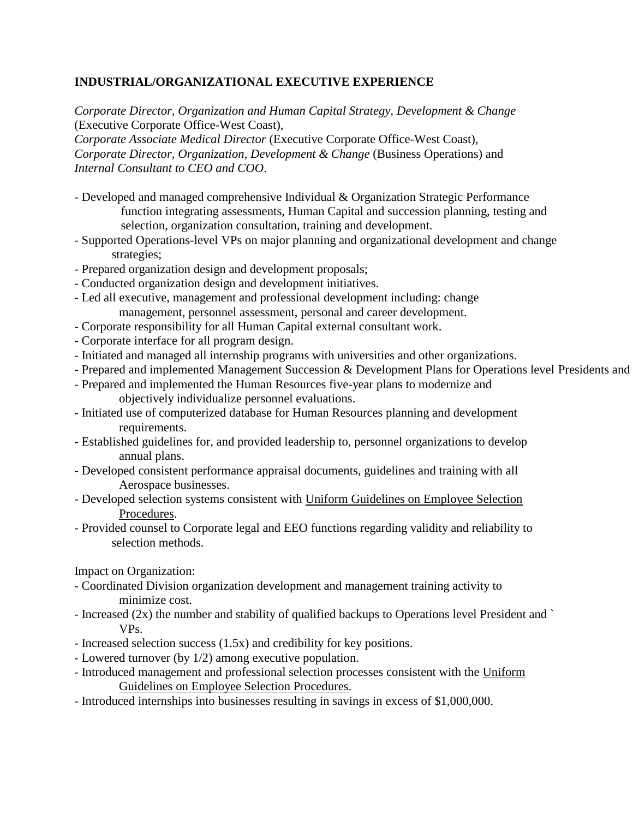# **INDUSTRIAL/ORGANIZATIONAL EXECUTIVE EXPERIENCE**

*Corporate Director, Organization and Human Capital Strategy, Development & Change* (Executive Corporate Office-West Coast),

*Corporate Associate Medical Director* (Executive Corporate Office-West Coast), *Corporate Director, Organization, Development & Change* (Business Operations) and *Internal Consultant to CEO and COO*.

- Developed and managed comprehensive Individual & Organization Strategic Performance function integrating assessments, Human Capital and succession planning, testing and selection, organization consultation, training and development.
- Supported Operations-level VPs on major planning and organizational development and change strategies;
- Prepared organization design and development proposals;
- Conducted organization design and development initiatives.
- Led all executive, management and professional development including: change management, personnel assessment, personal and career development.
- Corporate responsibility for all Human Capital external consultant work.
- Corporate interface for all program design.
- Initiated and managed all internship programs with universities and other organizations.
- Prepared and implemented Management Succession & Development Plans for Operations level Presidents and
- Prepared and implemented the Human Resources five-year plans to modernize and objectively individualize personnel evaluations.
- Initiated use of computerized database for Human Resources planning and development requirements.
- Established guidelines for, and provided leadership to, personnel organizations to develop annual plans.
- Developed consistent performance appraisal documents, guidelines and training with all Aerospace businesses.
- Developed selection systems consistent with Uniform Guidelines on Employee Selection Procedures.
- Provided counsel to Corporate legal and EEO functions regarding validity and reliability to selection methods.

Impact on Organization:

- Coordinated Division organization development and management training activity to minimize cost.
- Increased (2x) the number and stability of qualified backups to Operations level President and ` VPs.
- Increased selection success (1.5x) and credibility for key positions.
- Lowered turnover (by 1/2) among executive population.
- Introduced management and professional selection processes consistent with the Uniform Guidelines on Employee Selection Procedures.
- Introduced internships into businesses resulting in savings in excess of \$1,000,000.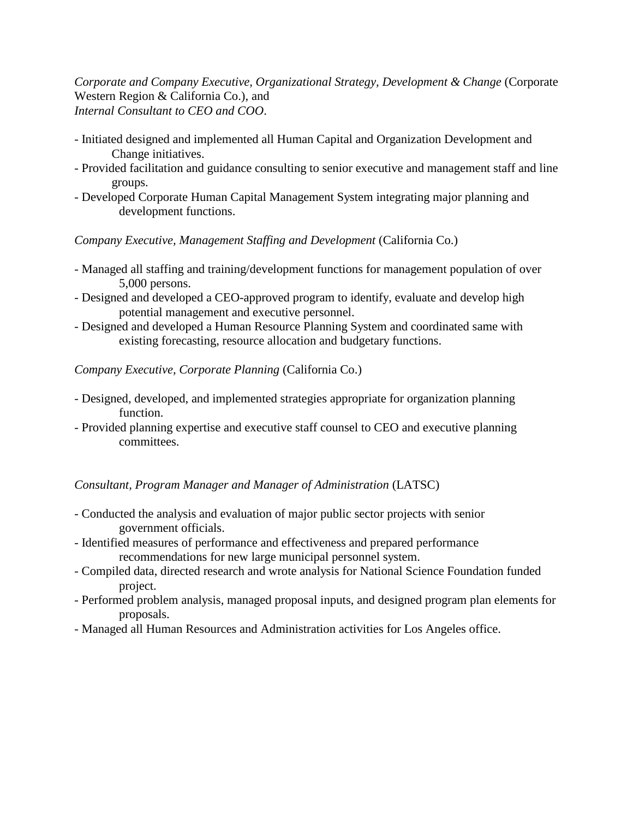*Corporate and Company Executive, Organizational Strategy, Development & Change* (Corporate Western Region & California Co.), and *Internal Consultant to CEO and COO*.

- Initiated designed and implemented all Human Capital and Organization Development and Change initiatives.
- Provided facilitation and guidance consulting to senior executive and management staff and line groups.
- Developed Corporate Human Capital Management System integrating major planning and development functions.

*Company Executive, Management Staffing and Development* (California Co.)

- Managed all staffing and training/development functions for management population of over 5,000 persons.
- Designed and developed a CEO-approved program to identify, evaluate and develop high potential management and executive personnel.
- Designed and developed a Human Resource Planning System and coordinated same with existing forecasting, resource allocation and budgetary functions.
- *Company Executive, Corporate Planning* (California Co.)
- Designed, developed, and implemented strategies appropriate for organization planning function.
- Provided planning expertise and executive staff counsel to CEO and executive planning committees.

*Consultant, Program Manager and Manager of Administration* (LATSC)

- Conducted the analysis and evaluation of major public sector projects with senior government officials.
- Identified measures of performance and effectiveness and prepared performance recommendations for new large municipal personnel system.
- Compiled data, directed research and wrote analysis for National Science Foundation funded project.
- Performed problem analysis, managed proposal inputs, and designed program plan elements for proposals.
- Managed all Human Resources and Administration activities for Los Angeles office.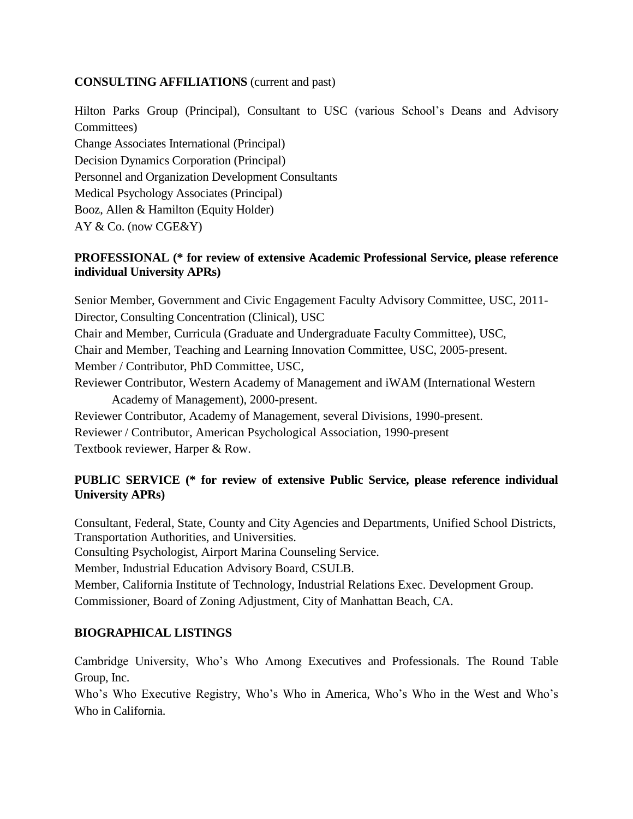#### **CONSULTING AFFILIATIONS** (current and past)

Hilton Parks Group (Principal), Consultant to USC (various School's Deans and Advisory Committees)

Change Associates International (Principal) Decision Dynamics Corporation (Principal) Personnel and Organization Development Consultants Medical Psychology Associates (Principal) Booz, Allen & Hamilton (Equity Holder) AY & Co. (now CGE&Y)

## **PROFESSIONAL (\* for review of extensive Academic Professional Service, please reference individual University APRs)**

Senior Member, Government and Civic Engagement Faculty Advisory Committee, USC, 2011- Director, Consulting Concentration (Clinical), USC Chair and Member, Curricula (Graduate and Undergraduate Faculty Committee), USC, Chair and Member, Teaching and Learning Innovation Committee, USC, 2005-present. Member / Contributor, PhD Committee, USC, Reviewer Contributor, Western Academy of Management and iWAM (International Western Academy of Management), 2000-present. Reviewer Contributor, Academy of Management, several Divisions, 1990-present. Reviewer / Contributor, American Psychological Association, 1990-present

Textbook reviewer, Harper & Row.

# **PUBLIC SERVICE (\* for review of extensive Public Service, please reference individual University APRs)**

Consultant, Federal, State, County and City Agencies and Departments, Unified School Districts, Transportation Authorities, and Universities.

Consulting Psychologist, Airport Marina Counseling Service.

Member, Industrial Education Advisory Board, CSULB.

Member, California Institute of Technology, Industrial Relations Exec. Development Group.

Commissioner, Board of Zoning Adjustment, City of Manhattan Beach, CA.

## **BIOGRAPHICAL LISTINGS**

Cambridge University, Who's Who Among Executives and Professionals. The Round Table Group, Inc.

Who's Who Executive Registry, Who's Who in America, Who's Who in the West and Who's Who in California.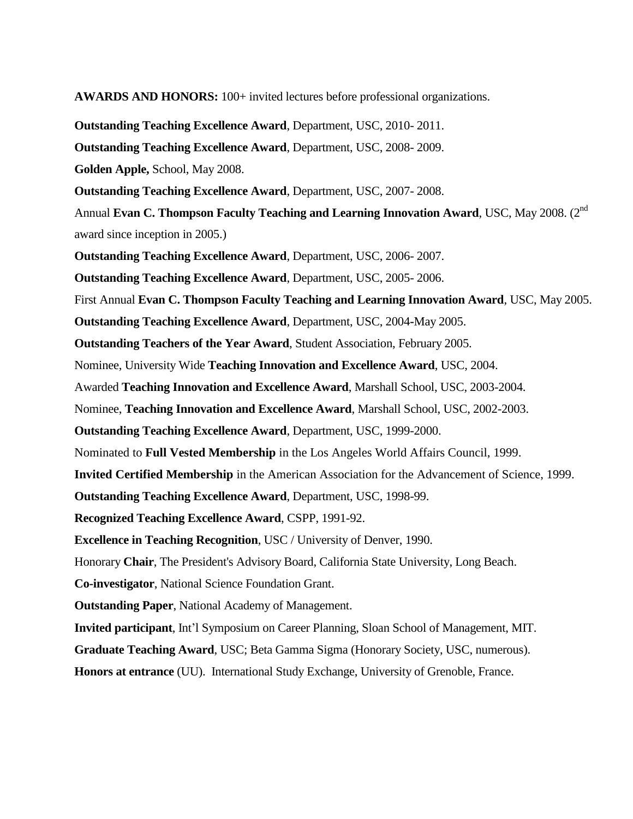**AWARDS AND HONORS:** 100+ invited lectures before professional organizations.

**Outstanding Teaching Excellence Award**, Department, USC, 2010- 2011.

**Outstanding Teaching Excellence Award**, Department, USC, 2008- 2009.

**Golden Apple,** School, May 2008.

**Outstanding Teaching Excellence Award**, Department, USC, 2007- 2008.

Annual Evan C. Thompson Faculty Teaching and Learning Innovation Award, USC, May 2008. (2<sup>nd</sup> award since inception in 2005.)

**Outstanding Teaching Excellence Award**, Department, USC, 2006- 2007.

**Outstanding Teaching Excellence Award**, Department, USC, 2005- 2006.

First Annual **Evan C. Thompson Faculty Teaching and Learning Innovation Award**, USC, May 2005.

**Outstanding Teaching Excellence Award**, Department, USC, 2004**-**May 2005.

**Outstanding Teachers of the Year Award**, Student Association, February 2005.

Nominee, University Wide **Teaching Innovation and Excellence Award**, USC, 2004.

Awarded **Teaching Innovation and Excellence Award**, Marshall School, USC, 2003-2004.

Nominee, **Teaching Innovation and Excellence Award**, Marshall School, USC, 2002-2003.

**Outstanding Teaching Excellence Award**, Department, USC, 1999-2000.

Nominated to **Full Vested Membership** in the Los Angeles World Affairs Council, 1999.

**Invited Certified Membership** in the American Association for the Advancement of Science, 1999.

**Outstanding Teaching Excellence Award**, Department, USC, 1998-99.

**Recognized Teaching Excellence Award**, CSPP, 1991-92.

**Excellence in Teaching Recognition**, USC / University of Denver, 1990.

Honorary **Chair**, The President's Advisory Board, California State University, Long Beach.

**Co-investigator**, National Science Foundation Grant.

**Outstanding Paper**, National Academy of Management.

**Invited participant**, Int'l Symposium on Career Planning, Sloan School of Management, MIT.

**Graduate Teaching Award**, USC; Beta Gamma Sigma (Honorary Society, USC, numerous).

**Honors at entrance** (UU). International Study Exchange, University of Grenoble, France.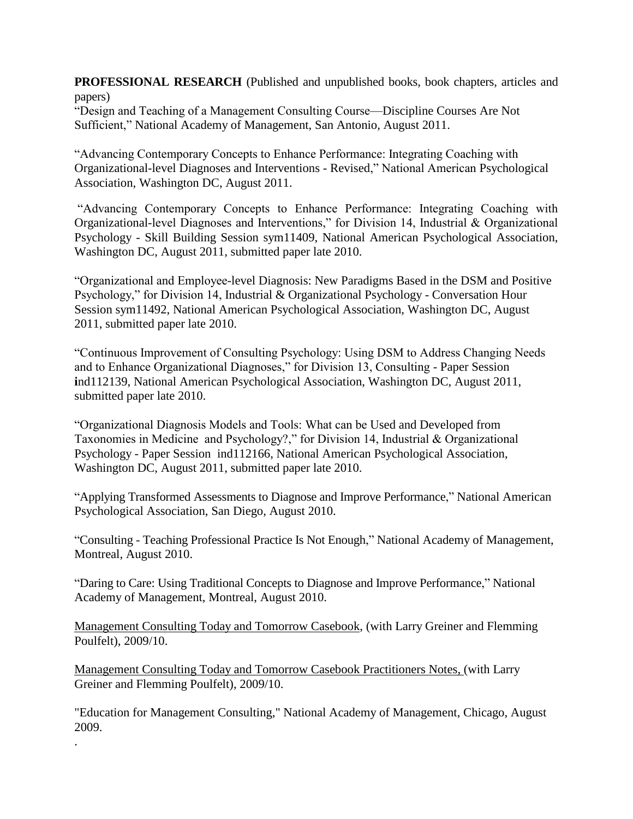**PROFESSIONAL RESEARCH** (Published and unpublished books, book chapters, articles and papers)

"Design and Teaching of a Management Consulting Course—Discipline Courses Are Not Sufficient," National Academy of Management, San Antonio, August 2011.

"Advancing Contemporary Concepts to Enhance Performance: Integrating Coaching with Organizational-level Diagnoses and Interventions - Revised," National American Psychological Association, Washington DC, August 2011.

"Advancing Contemporary Concepts to Enhance Performance: Integrating Coaching with Organizational-level Diagnoses and Interventions," for Division 14, Industrial & Organizational Psychology - Skill Building Session sym11409, National American Psychological Association, Washington DC, August 2011, submitted paper late 2010.

"Organizational and Employee-level Diagnosis: New Paradigms Based in the DSM and Positive Psychology," for Division 14, Industrial & Organizational Psychology - Conversation Hour Session sym11492, National American Psychological Association, Washington DC, August 2011, submitted paper late 2010.

"Continuous Improvement of Consulting Psychology: Using DSM to Address Changing Needs and to Enhance Organizational Diagnoses," for Division 13, Consulting - Paper Session **i**nd112139, National American Psychological Association, Washington DC, August 2011, submitted paper late 2010.

"Organizational Diagnosis Models and Tools: What can be Used and Developed from Taxonomies in Medicine and Psychology?," for Division 14, Industrial & Organizational Psychology - Paper Session ind112166, National American Psychological Association, Washington DC, August 2011, submitted paper late 2010.

"Applying Transformed Assessments to Diagnose and Improve Performance," National American Psychological Association, San Diego, August 2010.

"Consulting - Teaching Professional Practice Is Not Enough," National Academy of Management, Montreal, August 2010.

"Daring to Care: Using Traditional Concepts to Diagnose and Improve Performance," National Academy of Management, Montreal, August 2010.

Management Consulting Today and Tomorrow Casebook, (with Larry Greiner and Flemming Poulfelt), 2009/10.

Management Consulting Today and Tomorrow Casebook Practitioners Notes, (with Larry Greiner and Flemming Poulfelt), 2009/10.

.

"Education for Management Consulting," National Academy of Management, Chicago, August 2009.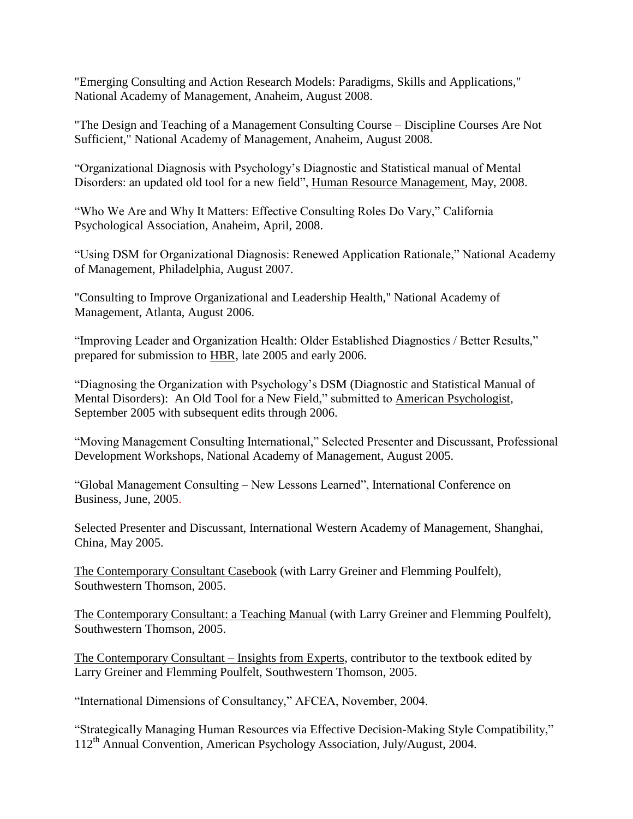"Emerging Consulting and Action Research Models: Paradigms, Skills and Applications," National Academy of Management, Anaheim, August 2008.

"The Design and Teaching of a Management Consulting Course – Discipline Courses Are Not Sufficient," National Academy of Management, Anaheim, August 2008.

"Organizational Diagnosis with Psychology's Diagnostic and Statistical manual of Mental Disorders: an updated old tool for a new field", Human Resource Management, May, 2008.

"Who We Are and Why It Matters: Effective Consulting Roles Do Vary," California Psychological Association, Anaheim, April, 2008.

"Using DSM for Organizational Diagnosis: Renewed Application Rationale," National Academy of Management, Philadelphia, August 2007.

"Consulting to Improve Organizational and Leadership Health," National Academy of Management, Atlanta, August 2006.

"Improving Leader and Organization Health: Older Established Diagnostics / Better Results," prepared for submission to HBR, late 2005 and early 2006.

"Diagnosing the Organization with Psychology's DSM (Diagnostic and Statistical Manual of Mental Disorders): An Old Tool for a New Field," submitted to American Psychologist, September 2005 with subsequent edits through 2006.

"Moving Management Consulting International," Selected Presenter and Discussant, Professional Development Workshops, National Academy of Management, August 2005.

"Global Management Consulting – New Lessons Learned", International Conference on Business, June, 2005.

Selected Presenter and Discussant, International Western Academy of Management, Shanghai, China, May 2005.

The Contemporary Consultant Casebook (with Larry Greiner and Flemming Poulfelt), Southwestern Thomson, 2005.

The Contemporary Consultant: a Teaching Manual (with Larry Greiner and Flemming Poulfelt), Southwestern Thomson, 2005.

The Contemporary Consultant – Insights from Experts, contributor to the textbook edited by Larry Greiner and Flemming Poulfelt, Southwestern Thomson, 2005.

"International Dimensions of Consultancy," AFCEA, November, 2004.

"Strategically Managing Human Resources via Effective Decision-Making Style Compatibility," 112th Annual Convention, American Psychology Association, July/August, 2004.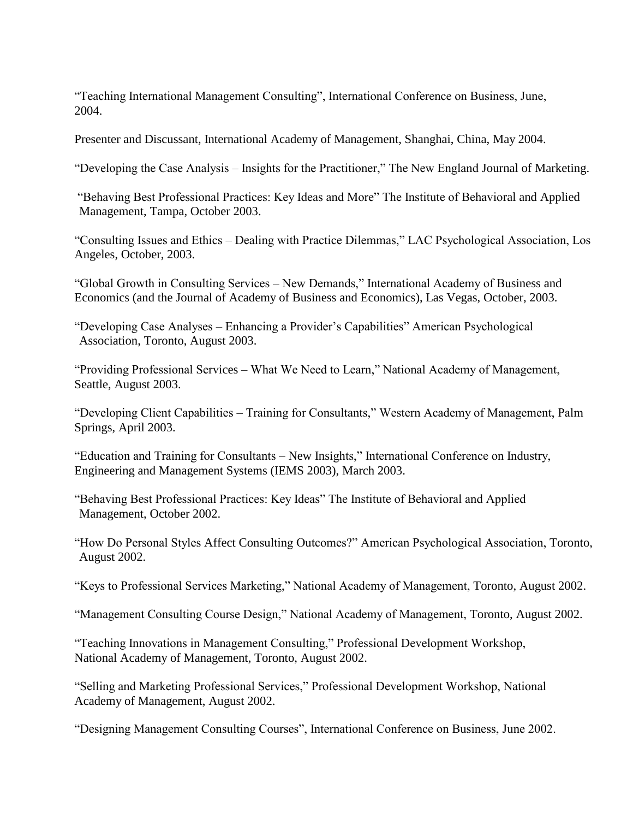"Teaching International Management Consulting", International Conference on Business, June, 2004.

Presenter and Discussant, International Academy of Management, Shanghai, China, May 2004.

"Developing the Case Analysis – Insights for the Practitioner," The New England Journal of Marketing.

"Behaving Best Professional Practices: Key Ideas and More" The Institute of Behavioral and Applied Management, Tampa, October 2003.

"Consulting Issues and Ethics – Dealing with Practice Dilemmas," LAC Psychological Association, Los Angeles, October, 2003.

"Global Growth in Consulting Services – New Demands," International Academy of Business and Economics (and the Journal of Academy of Business and Economics), Las Vegas, October, 2003.

"Developing Case Analyses – Enhancing a Provider's Capabilities" American Psychological Association, Toronto, August 2003.

"Providing Professional Services – What We Need to Learn," National Academy of Management, Seattle, August 2003.

"Developing Client Capabilities – Training for Consultants," Western Academy of Management, Palm Springs, April 2003.

"Education and Training for Consultants – New Insights," International Conference on Industry, Engineering and Management Systems (IEMS 2003), March 2003.

"Behaving Best Professional Practices: Key Ideas" The Institute of Behavioral and Applied Management, October 2002.

"How Do Personal Styles Affect Consulting Outcomes?" American Psychological Association, Toronto, August 2002.

"Keys to Professional Services Marketing," National Academy of Management, Toronto, August 2002.

"Management Consulting Course Design," National Academy of Management, Toronto, August 2002.

"Teaching Innovations in Management Consulting," Professional Development Workshop, National Academy of Management, Toronto, August 2002.

"Selling and Marketing Professional Services," Professional Development Workshop, National Academy of Management, August 2002.

"Designing Management Consulting Courses", International Conference on Business, June 2002.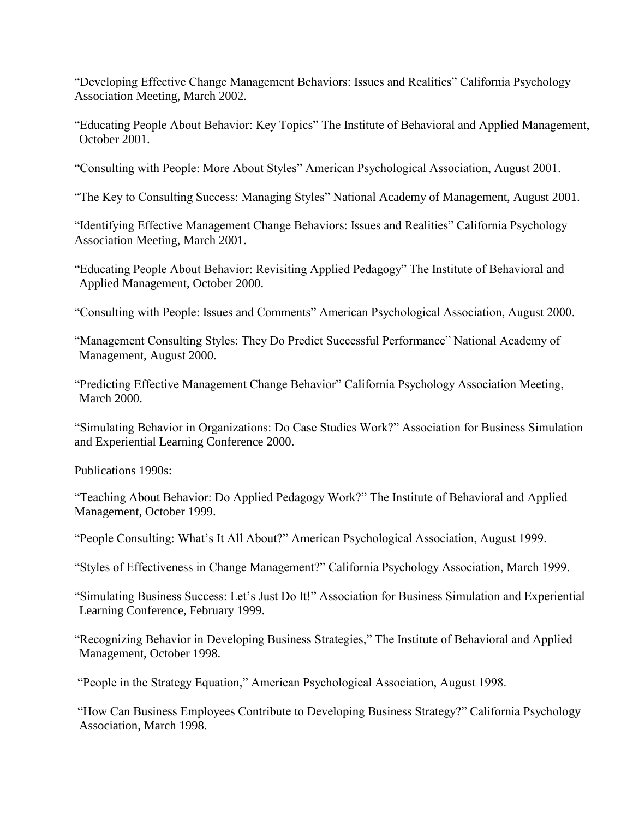"Developing Effective Change Management Behaviors: Issues and Realities" California Psychology Association Meeting, March 2002.

"Educating People About Behavior: Key Topics" The Institute of Behavioral and Applied Management, October 2001.

"Consulting with People: More About Styles" American Psychological Association, August 2001.

"The Key to Consulting Success: Managing Styles" National Academy of Management, August 2001.

"Identifying Effective Management Change Behaviors: Issues and Realities" California Psychology Association Meeting, March 2001.

"Educating People About Behavior: Revisiting Applied Pedagogy" The Institute of Behavioral and Applied Management, October 2000.

"Consulting with People: Issues and Comments" American Psychological Association, August 2000.

"Management Consulting Styles: They Do Predict Successful Performance" National Academy of Management, August 2000.

"Predicting Effective Management Change Behavior" California Psychology Association Meeting, March 2000.

"Simulating Behavior in Organizations: Do Case Studies Work?" Association for Business Simulation and Experiential Learning Conference 2000.

Publications 1990s:

"Teaching About Behavior: Do Applied Pedagogy Work?" The Institute of Behavioral and Applied Management, October 1999.

"People Consulting: What's It All About?" American Psychological Association, August 1999.

"Styles of Effectiveness in Change Management?" California Psychology Association, March 1999.

"Simulating Business Success: Let's Just Do It!" Association for Business Simulation and Experiential Learning Conference, February 1999.

"Recognizing Behavior in Developing Business Strategies," The Institute of Behavioral and Applied Management, October 1998.

"People in the Strategy Equation," American Psychological Association, August 1998.

"How Can Business Employees Contribute to Developing Business Strategy?" California Psychology Association, March 1998.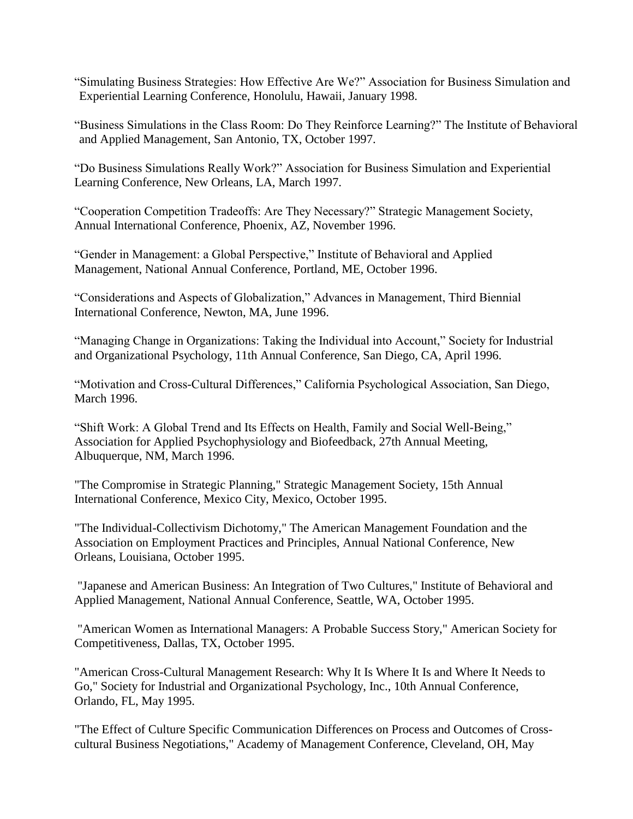"Simulating Business Strategies: How Effective Are We?" Association for Business Simulation and Experiential Learning Conference, Honolulu, Hawaii, January 1998.

"Business Simulations in the Class Room: Do They Reinforce Learning?" The Institute of Behavioral and Applied Management, San Antonio, TX, October 1997.

"Do Business Simulations Really Work?" Association for Business Simulation and Experiential Learning Conference, New Orleans, LA, March 1997.

"Cooperation Competition Tradeoffs: Are They Necessary?" Strategic Management Society, Annual International Conference, Phoenix, AZ, November 1996.

"Gender in Management: a Global Perspective," Institute of Behavioral and Applied Management, National Annual Conference, Portland, ME, October 1996.

"Considerations and Aspects of Globalization," Advances in Management, Third Biennial International Conference, Newton, MA, June 1996.

"Managing Change in Organizations: Taking the Individual into Account," Society for Industrial and Organizational Psychology, 11th Annual Conference, San Diego, CA, April 1996.

"Motivation and Cross-Cultural Differences," California Psychological Association, San Diego, March 1996.

"Shift Work: A Global Trend and Its Effects on Health, Family and Social Well-Being," Association for Applied Psychophysiology and Biofeedback, 27th Annual Meeting, Albuquerque, NM, March 1996.

"The Compromise in Strategic Planning," Strategic Management Society, 15th Annual International Conference, Mexico City, Mexico, October 1995.

"The Individual-Collectivism Dichotomy," The American Management Foundation and the Association on Employment Practices and Principles, Annual National Conference, New Orleans, Louisiana, October 1995.

"Japanese and American Business: An Integration of Two Cultures," Institute of Behavioral and Applied Management, National Annual Conference, Seattle, WA, October 1995.

"American Women as International Managers: A Probable Success Story," American Society for Competitiveness, Dallas, TX, October 1995.

"American Cross-Cultural Management Research: Why It Is Where It Is and Where It Needs to Go," Society for Industrial and Organizational Psychology, Inc., 10th Annual Conference, Orlando, FL, May 1995.

"The Effect of Culture Specific Communication Differences on Process and Outcomes of Crosscultural Business Negotiations," Academy of Management Conference, Cleveland, OH, May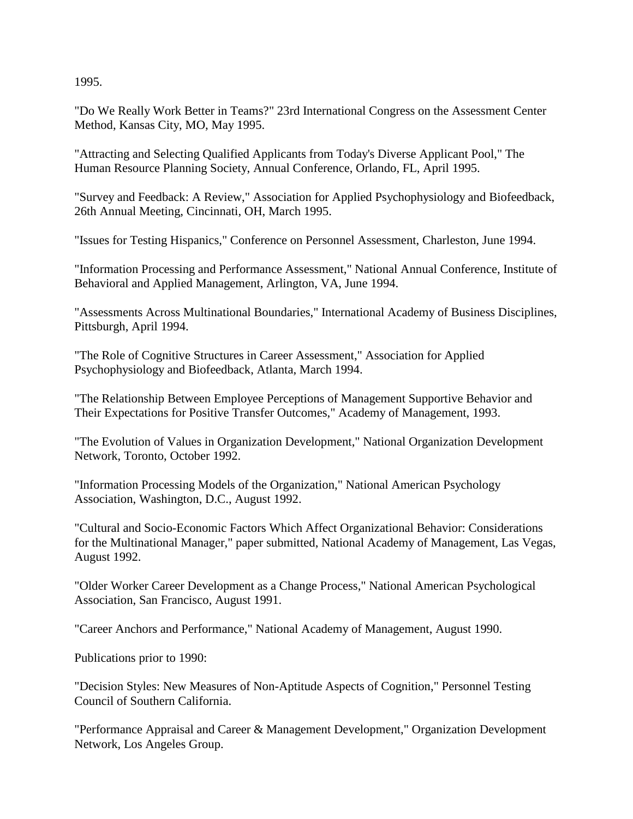1995.

"Do We Really Work Better in Teams?" 23rd International Congress on the Assessment Center Method, Kansas City, MO, May 1995.

"Attracting and Selecting Qualified Applicants from Today's Diverse Applicant Pool," The Human Resource Planning Society, Annual Conference, Orlando, FL, April 1995.

"Survey and Feedback: A Review," Association for Applied Psychophysiology and Biofeedback, 26th Annual Meeting, Cincinnati, OH, March 1995.

"Issues for Testing Hispanics," Conference on Personnel Assessment, Charleston, June 1994.

"Information Processing and Performance Assessment," National Annual Conference, Institute of Behavioral and Applied Management, Arlington, VA, June 1994.

"Assessments Across Multinational Boundaries," International Academy of Business Disciplines, Pittsburgh, April 1994.

"The Role of Cognitive Structures in Career Assessment," Association for Applied Psychophysiology and Biofeedback, Atlanta, March 1994.

"The Relationship Between Employee Perceptions of Management Supportive Behavior and Their Expectations for Positive Transfer Outcomes," Academy of Management, 1993.

"The Evolution of Values in Organization Development," National Organization Development Network, Toronto, October 1992.

"Information Processing Models of the Organization," National American Psychology Association, Washington, D.C., August 1992.

"Cultural and Socio-Economic Factors Which Affect Organizational Behavior: Considerations for the Multinational Manager," paper submitted, National Academy of Management, Las Vegas, August 1992.

"Older Worker Career Development as a Change Process," National American Psychological Association, San Francisco, August 1991.

"Career Anchors and Performance," National Academy of Management, August 1990.

Publications prior to 1990:

"Decision Styles: New Measures of Non-Aptitude Aspects of Cognition," Personnel Testing Council of Southern California.

"Performance Appraisal and Career & Management Development," Organization Development Network, Los Angeles Group.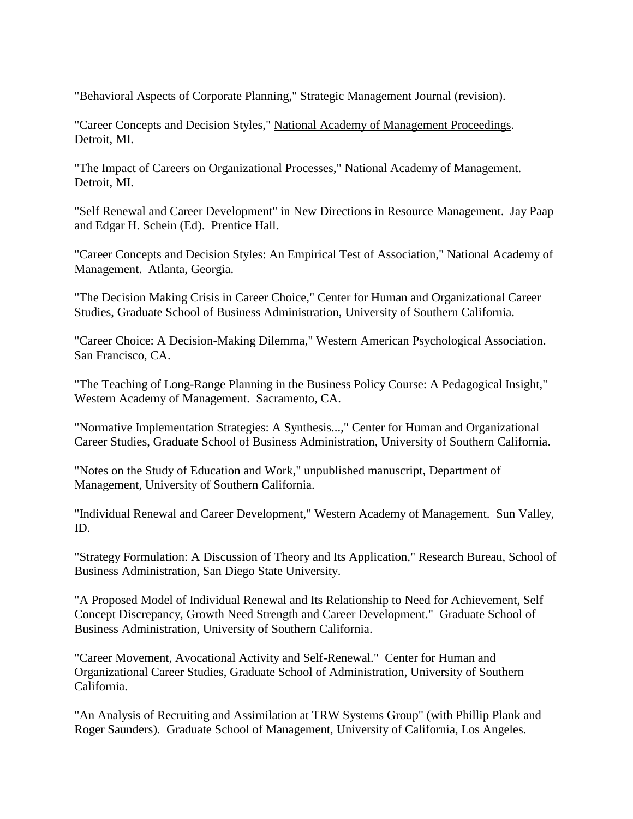"Behavioral Aspects of Corporate Planning," Strategic Management Journal (revision).

"Career Concepts and Decision Styles," National Academy of Management Proceedings. Detroit, MI.

"The Impact of Careers on Organizational Processes," National Academy of Management. Detroit, MI.

"Self Renewal and Career Development" in New Directions in Resource Management. Jay Paap and Edgar H. Schein (Ed). Prentice Hall.

"Career Concepts and Decision Styles: An Empirical Test of Association," National Academy of Management. Atlanta, Georgia.

"The Decision Making Crisis in Career Choice," Center for Human and Organizational Career Studies, Graduate School of Business Administration, University of Southern California.

"Career Choice: A Decision-Making Dilemma," Western American Psychological Association. San Francisco, CA.

"The Teaching of Long-Range Planning in the Business Policy Course: A Pedagogical Insight," Western Academy of Management. Sacramento, CA.

"Normative Implementation Strategies: A Synthesis...," Center for Human and Organizational Career Studies, Graduate School of Business Administration, University of Southern California.

"Notes on the Study of Education and Work," unpublished manuscript, Department of Management, University of Southern California.

"Individual Renewal and Career Development," Western Academy of Management. Sun Valley, ID.

"Strategy Formulation: A Discussion of Theory and Its Application," Research Bureau, School of Business Administration, San Diego State University.

"A Proposed Model of Individual Renewal and Its Relationship to Need for Achievement, Self Concept Discrepancy, Growth Need Strength and Career Development." Graduate School of Business Administration, University of Southern California.

"Career Movement, Avocational Activity and Self-Renewal." Center for Human and Organizational Career Studies, Graduate School of Administration, University of Southern California.

"An Analysis of Recruiting and Assimilation at TRW Systems Group" (with Phillip Plank and Roger Saunders). Graduate School of Management, University of California, Los Angeles.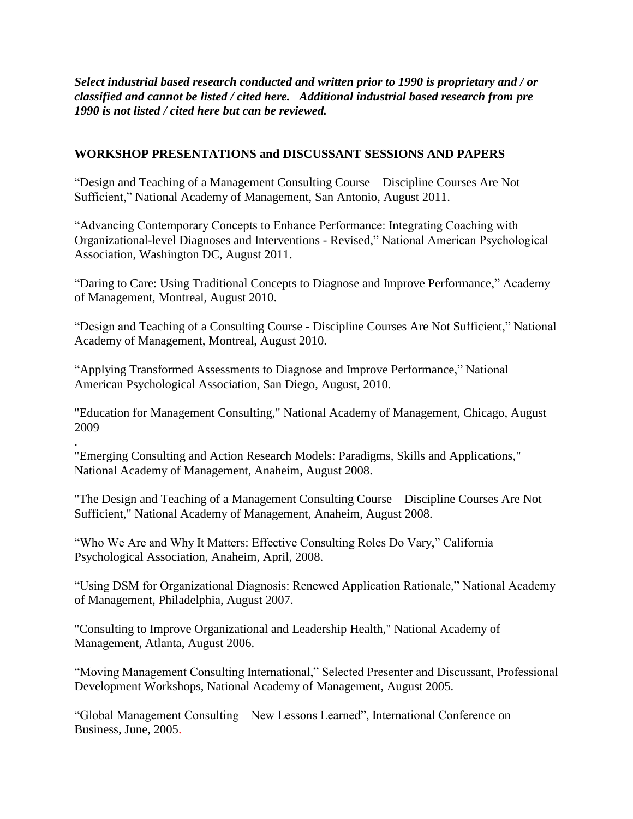*Select industrial based research conducted and written prior to 1990 is proprietary and / or classified and cannot be listed / cited here. Additional industrial based research from pre 1990 is not listed / cited here but can be reviewed.* 

## **WORKSHOP PRESENTATIONS and DISCUSSANT SESSIONS AND PAPERS**

"Design and Teaching of a Management Consulting Course—Discipline Courses Are Not Sufficient," National Academy of Management, San Antonio, August 2011.

"Advancing Contemporary Concepts to Enhance Performance: Integrating Coaching with Organizational-level Diagnoses and Interventions - Revised," National American Psychological Association, Washington DC, August 2011.

"Daring to Care: Using Traditional Concepts to Diagnose and Improve Performance," Academy of Management, Montreal, August 2010.

"Design and Teaching of a Consulting Course - Discipline Courses Are Not Sufficient," National Academy of Management, Montreal, August 2010.

"Applying Transformed Assessments to Diagnose and Improve Performance," National American Psychological Association, San Diego, August, 2010.

"Education for Management Consulting," National Academy of Management, Chicago, August 2009

"Emerging Consulting and Action Research Models: Paradigms, Skills and Applications," National Academy of Management, Anaheim, August 2008.

.

"The Design and Teaching of a Management Consulting Course – Discipline Courses Are Not Sufficient," National Academy of Management, Anaheim, August 2008.

"Who We Are and Why It Matters: Effective Consulting Roles Do Vary," California Psychological Association, Anaheim, April, 2008.

"Using DSM for Organizational Diagnosis: Renewed Application Rationale," National Academy of Management, Philadelphia, August 2007.

"Consulting to Improve Organizational and Leadership Health," National Academy of Management, Atlanta, August 2006.

"Moving Management Consulting International," Selected Presenter and Discussant, Professional Development Workshops, National Academy of Management, August 2005.

"Global Management Consulting – New Lessons Learned", International Conference on Business, June, 2005.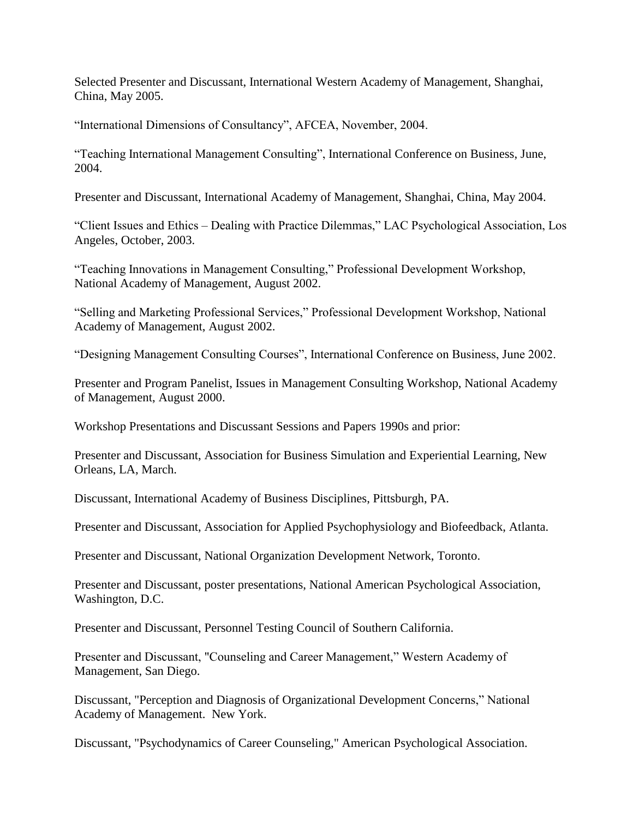Selected Presenter and Discussant, International Western Academy of Management, Shanghai, China, May 2005.

"International Dimensions of Consultancy", AFCEA, November, 2004.

"Teaching International Management Consulting", International Conference on Business, June, 2004.

Presenter and Discussant, International Academy of Management, Shanghai, China, May 2004.

"Client Issues and Ethics – Dealing with Practice Dilemmas," LAC Psychological Association, Los Angeles, October, 2003.

"Teaching Innovations in Management Consulting," Professional Development Workshop, National Academy of Management, August 2002.

"Selling and Marketing Professional Services," Professional Development Workshop, National Academy of Management, August 2002.

"Designing Management Consulting Courses", International Conference on Business, June 2002.

Presenter and Program Panelist, Issues in Management Consulting Workshop, National Academy of Management, August 2000.

Workshop Presentations and Discussant Sessions and Papers 1990s and prior:

Presenter and Discussant, Association for Business Simulation and Experiential Learning, New Orleans, LA, March.

Discussant, International Academy of Business Disciplines, Pittsburgh, PA.

Presenter and Discussant, Association for Applied Psychophysiology and Biofeedback, Atlanta.

Presenter and Discussant, National Organization Development Network, Toronto.

Presenter and Discussant, poster presentations, National American Psychological Association, Washington, D.C.

Presenter and Discussant, Personnel Testing Council of Southern California.

Presenter and Discussant, "Counseling and Career Management," Western Academy of Management, San Diego.

Discussant, "Perception and Diagnosis of Organizational Development Concerns," National Academy of Management. New York.

Discussant, "Psychodynamics of Career Counseling," American Psychological Association.